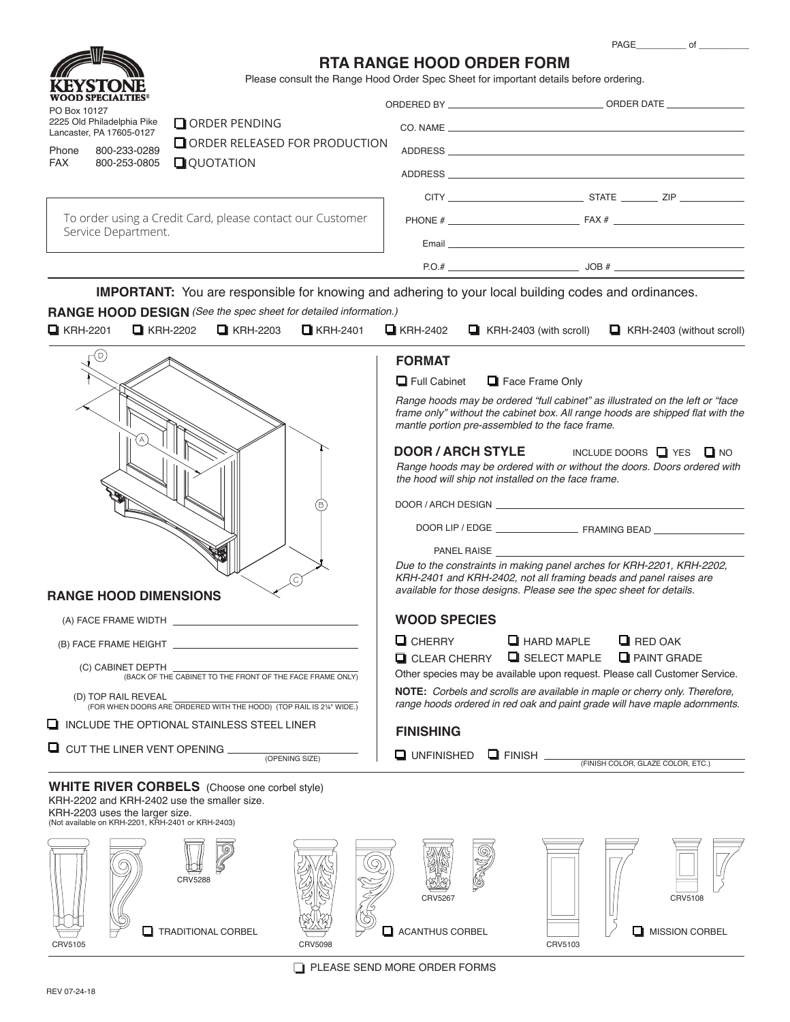PAGE\_\_\_\_\_\_\_\_\_\_\_\_\_ of



### **RTA RANGE HOOD ORDER FORM**

Please consult the Range Hood Order Spec Sheet for important details before ordering.

| PO Box 10127<br>Phone<br><b>FAX</b>                                                         | KEYSIONE<br><b>WOOD SPECIALTIES®</b><br>2225 Old Philadelphia Pike<br>Lancaster, PA 17605-0127<br>800-233-0289<br>800-253-0805 | O ORDER PENDING<br>ORDER RELEASED FOR PRODUCTION<br>$\Box$ QUOTATION                                   |                                        |                                                                                                                                                                                                                    |
|---------------------------------------------------------------------------------------------|--------------------------------------------------------------------------------------------------------------------------------|--------------------------------------------------------------------------------------------------------|----------------------------------------|--------------------------------------------------------------------------------------------------------------------------------------------------------------------------------------------------------------------|
| To order using a Credit Card, please contact our Customer<br>Service Department.            |                                                                                                                                |                                                                                                        |                                        |                                                                                                                                                                                                                    |
|                                                                                             |                                                                                                                                |                                                                                                        |                                        |                                                                                                                                                                                                                    |
|                                                                                             |                                                                                                                                |                                                                                                        |                                        |                                                                                                                                                                                                                    |
| $\Box$ KRH-2201                                                                             | $\Box$ KRH-2202                                                                                                                | RANGE HOOD DESIGN (See the spec sheet for detailed information.)<br>$\Box$ KRH-2203<br>$\Box$ KRH-2401 | $\Box$ KRH-2402                        | <b>IMPORTANT:</b> You are responsible for knowing and adhering to your local building codes and ordinances.<br>$\Box$ KRH-2403 (with scroll)<br>$\Box$ KRH-2403 (without scroll)                                   |
|                                                                                             | (D)                                                                                                                            |                                                                                                        | <b>FORMAT</b>                          |                                                                                                                                                                                                                    |
|                                                                                             |                                                                                                                                |                                                                                                        | $\Box$ Full Cabinet                    | Face Frame Only                                                                                                                                                                                                    |
|                                                                                             |                                                                                                                                |                                                                                                        |                                        | Range hoods may be ordered "full cabinet" as illustrated on the left or "face<br>frame only" without the cabinet box. All range hoods are shipped flat with the<br>mantle portion pre-assembled to the face frame. |
|                                                                                             |                                                                                                                                |                                                                                                        |                                        | <b>DOOR / ARCH STYLE</b><br>INCLUDE DOORS $\Box$ YES $\Box$ NO<br>Range hoods may be ordered with or without the doors. Doors ordered with<br>the hood will ship not installed on the face frame.                  |
|                                                                                             |                                                                                                                                |                                                                                                        |                                        |                                                                                                                                                                                                                    |
|                                                                                             |                                                                                                                                |                                                                                                        |                                        |                                                                                                                                                                                                                    |
|                                                                                             |                                                                                                                                |                                                                                                        |                                        | PANEL RAISE <b>Example 20</b><br>Due to the constraints in making panel arches for KRH-2201, KRH-2202,<br>KRH-2401 and KRH-2402, not all framing beads and panel raises are                                        |
|                                                                                             | <b>RANGE HOOD DIMENSIONS</b>                                                                                                   |                                                                                                        |                                        | available for those designs. Please see the spec sheet for details.                                                                                                                                                |
|                                                                                             |                                                                                                                                |                                                                                                        | <b>WOOD SPECIES</b>                    |                                                                                                                                                                                                                    |
|                                                                                             |                                                                                                                                |                                                                                                        | $\Box$ CHERRY                          | $\Box$ HARD MAPLE<br>$\Box$ RED OAK                                                                                                                                                                                |
| (C) CABINET DEPTH<br>(BACK OF THE CABINET TO THE FRONT OF THE FACE FRAME ONLY)              |                                                                                                                                |                                                                                                        | $\Box$ CLEAR CHERRY                    | SELECT MAPLE<br><b>Q</b> PAINT GRADE<br>Other species may be available upon request. Please call Customer Service.                                                                                                 |
| (D) TOP RAIL REVEAL<br>(FOR WHEN DOORS ARE ORDERED WITH THE HOOD) (TOP RAIL IS 21/4" WIDE.) |                                                                                                                                |                                                                                                        |                                        | NOTE: Corbels and scrolls are available in maple or cherry only. Therefore,<br>range hoods ordered in red oak and paint grade will have maple adornments.                                                          |
|                                                                                             |                                                                                                                                | $\Box$ INCLUDE THE OPTIONAL STAINLESS STEEL LINER                                                      | <b>FINISHING</b>                       |                                                                                                                                                                                                                    |
| $\Box$ CUT THE LINER VENT OPENING<br>(OPENING SIZE)                                         |                                                                                                                                |                                                                                                        | <b>UNFINISHED</b>                      | $\sqcup$ Finish $\sqcup$<br>(FINISH COLOR, GLAZE COLOR, ETC.)                                                                                                                                                      |
|                                                                                             | KRH-2203 uses the larger size.<br>(Not available on KRH-2201, KRH-2401 or KRH-2403)                                            | <b>WHITE RIVER CORBELS</b> (Choose one corbel style)<br>KRH-2202 and KRH-2402 use the smaller size.    |                                        |                                                                                                                                                                                                                    |
|                                                                                             | ப                                                                                                                              | <b>CRV5288</b><br><b>TRADITIONAL CORBEL</b>                                                            | CRV5267<br>◻<br><b>ACANTHUS CORBEL</b> | CRV5108<br>MISSION CORBEL<br>ப                                                                                                                                                                                     |

 $\Box$ CRV5105 CRV5098 CRV5103

 $\Box$  PLEASE SEND MORE ORDER FORMS

 $CRV5103$ 

 $CRV5098$ 

 $CRV5105$